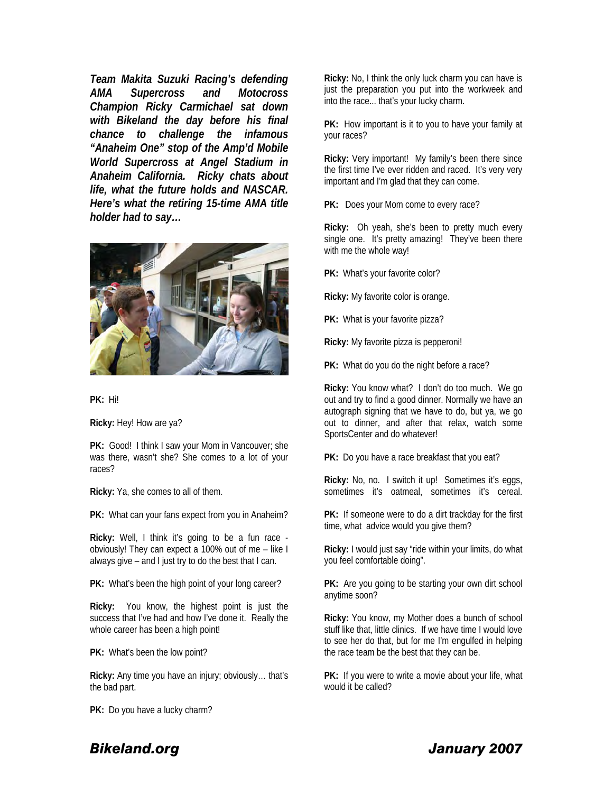*Team Makita Suzuki Racing's defending AMA Supercross and Motocross Champion Ricky Carmichael sat down with Bikeland the day before his final chance to challenge the infamous "Anaheim One" stop of the Amp'd Mobile World Supercross at Angel Stadium in Anaheim California. Ricky chats about life, what the future holds and NASCAR. Here's what the retiring 15-time AMA title holder had to say…* 



**PK:** Hi!

**Ricky:** Hey! How are ya?

**PK:** Good! I think I saw your Mom in Vancouver; she was there, wasn't she? She comes to a lot of your races?

**Ricky:** Ya, she comes to all of them.

**PK:** What can your fans expect from you in Anaheim?

**Ricky:** Well, I think it's going to be a fun race obviously! They can expect a 100% out of me – like I always give – and I just try to do the best that I can.

**PK:** What's been the high point of your long career?

**Ricky:** You know, the highest point is just the success that I've had and how I've done it. Really the whole career has been a high point!

**PK:** What's been the low point?

**Ricky:** Any time you have an injury; obviously… that's the bad part.

**PK:** Do you have a lucky charm?

**Ricky:** No, I think the only luck charm you can have is just the preparation you put into the workweek and into the race... that's your lucky charm.

**PK:** How important is it to you to have your family at your races?

**Ricky:** Very important! My family's been there since the first time I've ever ridden and raced. It's very very important and I'm glad that they can come.

**PK:** Does your Mom come to every race?

**Ricky:** Oh yeah, she's been to pretty much every single one. It's pretty amazing! They've been there with me the whole way!

**PK:** What's your favorite color?

**Ricky:** My favorite color is orange.

**PK:** What is your favorite pizza?

**Ricky:** My favorite pizza is pepperoni!

**PK:** What do you do the night before a race?

**Ricky:** You know what? I don't do too much. We go out and try to find a good dinner. Normally we have an autograph signing that we have to do, but ya, we go out to dinner, and after that relax, watch some SportsCenter and do whatever!

**PK:** Do you have a race breakfast that you eat?

**Ricky:** No, no. I switch it up! Sometimes it's eggs, sometimes it's oatmeal, sometimes it's cereal.

**PK:** If someone were to do a dirt trackday for the first time, what advice would you give them?

**Ricky:** I would just say "ride within your limits, do what you feel comfortable doing".

**PK:** Are you going to be starting your own dirt school anytime soon?

**Ricky:** You know, my Mother does a bunch of school stuff like that, little clinics. If we have time I would love to see her do that, but for me I'm engulfed in helping the race team be the best that they can be.

**PK:** If you were to write a movie about your life, what would it be called?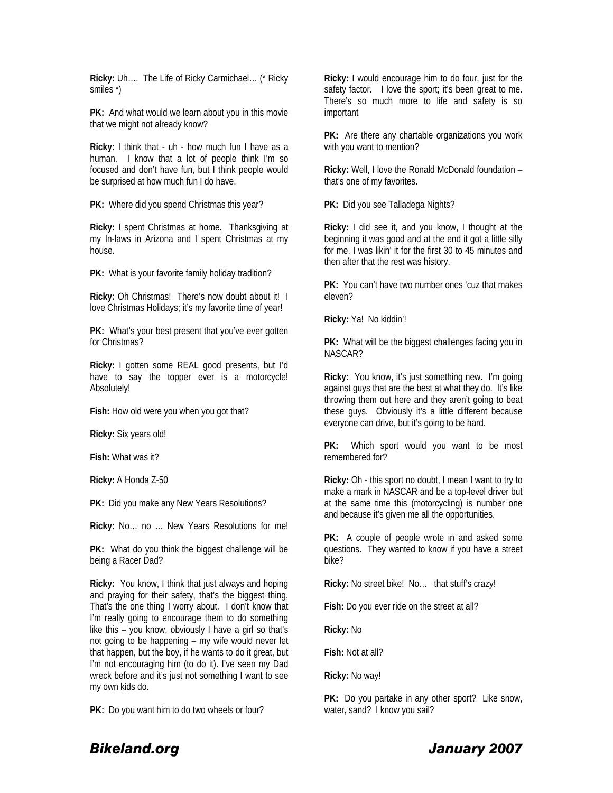**Ricky:** Uh…. The Life of Ricky Carmichael… (\* Ricky smiles \*)

**PK:** And what would we learn about you in this movie that we might not already know?

**Ricky:** I think that - uh - how much fun I have as a human. I know that a lot of people think I'm so focused and don't have fun, but I think people would be surprised at how much fun I do have.

**PK:** Where did you spend Christmas this year?

**Ricky:** I spent Christmas at home. Thanksgiving at my In-laws in Arizona and I spent Christmas at my house.

**PK:** What is your favorite family holiday tradition?

**Ricky:** Oh Christmas! There's now doubt about it! I love Christmas Holidays; it's my favorite time of year!

**PK:** What's your best present that you've ever gotten for Christmas?

**Ricky:** I gotten some REAL good presents, but I'd have to say the topper ever is a motorcycle! Absolutely!

**Fish:** How old were you when you got that?

**Ricky:** Six years old!

**Fish:** What was it?

**Ricky:** A Honda Z-50

**PK:** Did you make any New Years Resolutions?

**Ricky:** No… no … New Years Resolutions for me!

**PK:** What do you think the biggest challenge will be being a Racer Dad?

**Ricky:** You know, I think that just always and hoping and praying for their safety, that's the biggest thing. That's the one thing I worry about. I don't know that I'm really going to encourage them to do something like this – you know, obviously I have a girl so that's not going to be happening – my wife would never let that happen, but the boy, if he wants to do it great, but I'm not encouraging him (to do it). I've seen my Dad wreck before and it's just not something I want to see my own kids do.

**PK:** Do you want him to do two wheels or four?

**Ricky:** I would encourage him to do four, just for the safety factor. I love the sport; it's been great to me. There's so much more to life and safety is so important

**PK:** Are there any chartable organizations you work with you want to mention?

**Ricky:** Well, I love the Ronald McDonald foundation – that's one of my favorites.

**PK:** Did you see Talladega Nights?

**Ricky:** I did see it, and you know, I thought at the beginning it was good and at the end it got a little silly for me. I was likin' it for the first 30 to 45 minutes and then after that the rest was history.

**PK:** You can't have two number ones 'cuz that makes eleven?

**Ricky:** Ya! No kiddin'!

**PK:** What will be the biggest challenges facing you in NASCAR?

**Ricky:** You know, it's just something new. I'm going against guys that are the best at what they do. It's like throwing them out here and they aren't going to beat these guys. Obviously it's a little different because everyone can drive, but it's going to be hard.

**PK:** Which sport would you want to be most remembered for?

**Ricky:** Oh - this sport no doubt, I mean I want to try to make a mark in NASCAR and be a top-level driver but at the same time this (motorcycling) is number one and because it's given me all the opportunities.

**PK:** A couple of people wrote in and asked some questions. They wanted to know if you have a street bike?

**Ricky:** No street bike! No… that stuff's crazy!

**Fish:** Do you ever ride on the street at all?

**Ricky:** No

**Fish:** Not at all?

**Ricky:** No way!

**PK:** Do you partake in any other sport? Like snow, water, sand? I know you sail?

## *Bikeland.org January 2007*